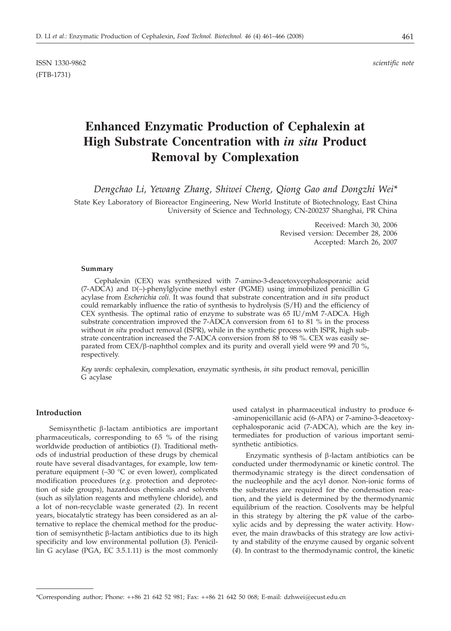ISSN 1330-9862 *scientific note* (FTB-1731)

# **Enhanced Enzymatic Production of Cephalexin at High Substrate Concentration with** *in situ* **Product Removal by Complexation**

*Dengchao Li, Yewang Zhang, Shiwei Cheng, Qiong Gao and Dongzhi Wei\**

State Key Laboratory of Bioreactor Engineering, New World Institute of Biotechnology, East China University of Science and Technology, CN-200237 Shanghai, PR China

> Received: March 30, 2006 Revised version: December 28, 2006 Accepted: March 26, 2007

#### **Summary**

Cephalexin (CEX) was synthesized with 7-amino-3-deacetoxycephalosporanic acid (7-ADCA) and D(–)-phenylglycine methyl ester (PGME) using immobilized penicillin G acylase from *Escherichia coli*. It was found that substrate concentration and *in situ* product could remarkably influence the ratio of synthesis to hydrolysis (S/H) and the efficiency of CEX synthesis. The optimal ratio of enzyme to substrate was 65 IU/mM 7-ADCA. High substrate concentration improved the 7-ADCA conversion from 61 to 81 % in the process without *in situ* product removal (ISPR), while in the synthetic process with ISPR, high substrate concentration increased the 7-ADCA conversion from 88 to 98 %. CEX was easily separated from  $CEX/\beta$ -naphthol complex and its purity and overall yield were 99 and 70 %, respectively.

*Key words:* cephalexin, complexation, enzymatic synthesis, *in situ* product removal, penicillin G acylase

## **Introduction**

Semisynthetic  $\beta$ -lactam antibiotics are important pharmaceuticals, corresponding to 65 % of the rising worldwide production of antibiotics (*1*). Traditional methods of industrial production of these drugs by chemical route have several disadvantages, for example, low temperature equipment  $(-30 \degree C)$  or even lower), complicated modification procedures (*e.g.* protection and deprotection of side groups), hazardous chemicals and solvents (such as silylation reagents and methylene chloride), and a lot of non-recyclable waste generated (*2*). In recent years, biocatalytic strategy has been considered as an alternative to replace the chemical method for the production of semisynthetic  $\beta$ -lactam antibiotics due to its high specificity and low environmental pollution (*3*). Penicillin G acylase (PGA, EC 3.5.1.11) is the most commonly

used catalyst in pharmaceutical industry to produce 6- -aminopenicillanic acid (6-APA) or 7-amino-3-deacetoxycephalosporanic acid (7-ADCA), which are the key intermediates for production of various important semisynthetic antibiotics.

Enzymatic synthesis of  $\beta$ -lactam antibiotics can be conducted under thermodynamic or kinetic control. The thermodynamic strategy is the direct condensation of the nucleophile and the acyl donor. Non-ionic forms of the substrates are required for the condensation reaction, and the yield is determined by the thermodynamic equilibrium of the reaction. Cosolvents may be helpful in this strategy by altering the p*K* value of the carboxylic acids and by depressing the water activity. However, the main drawbacks of this strategy are low activity and stability of the enzyme caused by organic solvent (*4*). In contrast to the thermodynamic control, the kinetic

<sup>\*</sup>Corresponding author; Phone: ++86 21 642 52 981; Fax: ++86 21 642 50 068; E-mail: dzhwei@ecust.edu.cn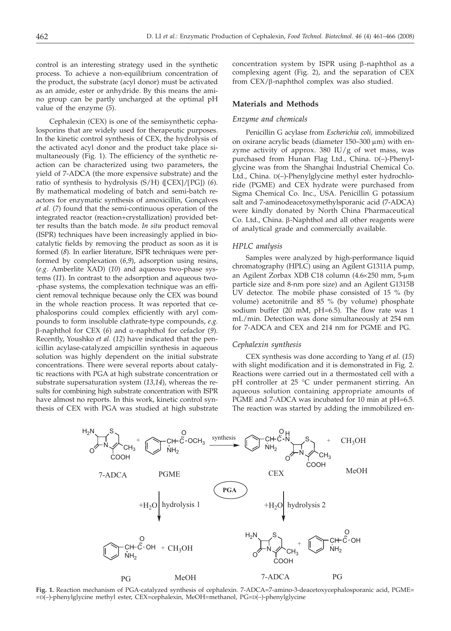control is an interesting strategy used in the synthetic process. To achieve a non-equilibrium concentration of the product, the substrate (acyl donor) must be activated as an amide, ester or anhydride. By this means the amino group can be partly uncharged at the optimal pH value of the enzyme (*5*).

Cephalexin (CEX) is one of the semisynthetic cephalosporins that are widely used for therapeutic purposes. In the kinetic control synthesis of CEX, the hydrolysis of the activated acyl donor and the product take place simultaneously (Fig. 1). The efficiency of the synthetic reaction can be characterized using two parameters, the yield of 7-ADCA (the more expensive substrate) and the ratio of synthesis to hydrolysis (S/H) ([CEX]/[PG]) (*6*). By mathematical modeling of batch and semi-batch reactors for enzymatic synthesis of amoxicillin, Gonçalves *et al.* (*7*) found that the semi-continuous operation of the integrated reactor (reaction+crystallization) provided better results than the batch mode. *In situ* product removal (ISPR) techniques have been increasingly applied in biocatalytic fields by removing the product as soon as it is formed (*8*). In earlier literature, ISPR techniques were performed by complexation (*6,9*), adsorption using resins, (*e.g.* Amberlite XAD) (*10*) and aqueous two-phase systems (*11*). In contrast to the adsorption and aqueous two- -phase systems, the complexation technique was an efficient removal technique because only the CEX was bound in the whole reaction process. It was reported that cephalosporins could complex efficiently with aryl compounds to form insoluble clathrate-type compounds, *e.g.* b-naphthol for CEX (*6*) and a-naphthol for cefaclor (*9*). Recently, Youshko *et al.* (*12*) have indicated that the penicillin acylase-catalyzed ampicillin synthesis in aqueous solution was highly dependent on the initial substrate concentrations. There were several reports about catalytic reactions with PGA at high substrate concentration or substrate supersaturation system (*13,14*), whereas the results for combining high substrate concentration with ISPR have almost no reports. In this work, kinetic control synthesis of CEX with PGA was studied at high substrate

concentration system by ISPR using  $\beta$ -naphthol as a complexing agent (Fig. 2), and the separation of CEX from CEX/b-naphthol complex was also studied.

## **Materials and Methods**

#### *Enzyme and chemicals*

Penicillin G acylase from *Escherichia coli,* immobilized on oxirane acrylic beads (diameter  $150-300 \mu m$ ) with enzyme activity of approx.  $380$  IU/g of wet mass, was purchased from Hunan Flag Ltd., China. D(–)-Phenylglycine was from the Shanghai Industrial Chemical Co. Ltd., China. D(–)-Phenylglycine methyl ester hydrochloride (PGME) and CEX hydrate were purchased from Sigma Chemical Co. Inc., USA. Penicillin G potassium salt and 7-aminodeacetoxymethylsporanic acid (7-ADCA) were kindly donated by North China Pharmaceutical Co. Ltd., China.  $\beta$ -Naphthol and all other reagents were of analytical grade and commercially available.

#### *HPLC analysis*

Samples were analyzed by high-performance liquid chromatography (HPLC) using an Agilent G1311A pump, an Agilent Zorbax XDB C18 column (4.6×250 mm, 5-µm particle size and 8-nm pore size) and an Agilent G1315B UV detector. The mobile phase consisted of 15 % (by volume) acetonitrile and 85 % (by volume) phosphate sodium buffer (20 mM, pH=6.5). The flow rate was 1 mL/min. Detection was done simultaneously at 254 nm for 7-ADCA and CEX and 214 nm for PGME and PG.

#### *Cephalexin synthesis*

CEX synthesis was done according to Yang *et al.* (*15*) with slight modification and it is demonstrated in Fig. 2. Reactions were carried out in a thermostated cell with a pH controller at 25 °C under permanent stirring. An aqueous solution containing appropriate amounts of PGME and 7-ADCA was incubated for 10 min at pH=6.5. The reaction was started by adding the immobilized en-



**Fig. 1.** Reaction mechanism of PGA-catalyzed synthesis of cephalexin. 7-ADCA=7-amino-3-deacetoxycephalosporanic acid, PGME= =D(–)-phenylglycine methyl ester, CEX=cephalexin, MeOH=methanol, PG=D(–)-phenylglycine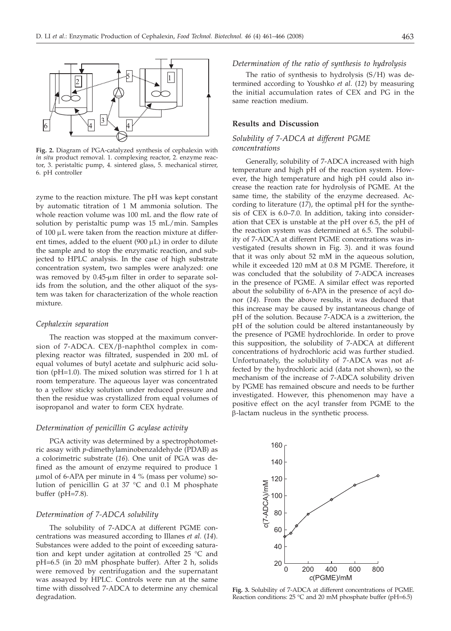

**Fig. 2.** Diagram of PGA-catalyzed synthesis of cephalexin with *in situ* product removal. 1. complexing reactor, 2. enzyme reactor, 3. peristaltic pump, 4. sintered glass, 5. mechanical stirrer, 6. pH controller

zyme to the reaction mixture. The pH was kept constant by automatic titration of 1 M ammonia solution. The whole reaction volume was 100 mL and the flow rate of solution by peristaltic pump was 15 mL/min. Samples of 100 µL were taken from the reaction mixture at different times, added to the eluent  $(900 \mu L)$  in order to dilute the sample and to stop the enzymatic reaction, and subjected to HPLC analysis. In the case of high substrate concentration system, two samples were analyzed: one was removed by 0.45-µm filter in order to separate solids from the solution, and the other aliquot of the system was taken for characterization of the whole reaction mixture.

#### *Cephalexin separation*

The reaction was stopped at the maximum conversion of  $7-\text{ADCA}$ . CEX/ $\beta$ -naphthol complex in complexing reactor was filtrated, suspended in 200 mL of equal volumes of butyl acetate and sulphuric acid solution (pH=1.0). The mixed solution was stirred for 1 h at room temperature. The aqueous layer was concentrated to a yellow sticky solution under reduced pressure and then the residue was crystallized from equal volumes of isopropanol and water to form CEX hydrate.

## *Determination of penicillin G acylase activity*

PGA activity was determined by a spectrophotometric assay with *p*-dimethylaminobenzaldehyde (PDAB) as a colorimetric substrate (*16*). One unit of PGA was defined as the amount of enzyme required to produce 1  $\mu$ mol of 6-APA per minute in 4 % (mass per volume) solution of penicillin G at 37 °C and 0.1 M phosphate buffer (pH=7.8).

## *Determination of 7-ADCA solubility*

The solubility of 7-ADCA at different PGME concentrations was measured according to Illanes *et al.* (*14*). Substances were added to the point of exceeding saturation and kept under agitation at controlled 25 °C and pH=6.5 (in 20 mM phosphate buffer). After 2 h, solids were removed by centrifugation and the supernatant was assayed by HPLC. Controls were run at the same time with dissolved 7-ADCA to determine any chemical degradation.

## *Determination of the ratio of synthesis to hydrolysis*

The ratio of synthesis to hydrolysis (S/H) was determined according to Youshko *et al*. (*12*) by measuring the initial accumulation rates of CEX and PG in the same reaction medium.

## **Results and Discussion**

## *Solubility of 7-ADCA at different PGME concentrations*

Generally, solubility of 7-ADCA increased with high temperature and high pH of the reaction system. However, the high temperature and high pH could also increase the reaction rate for hydrolysis of PGME. At the same time, the stability of the enzyme decreased. According to literature (*17*), the optimal pH for the synthesis of CEX is 6.0–7.0. In addition, taking into consideration that CEX is unstable at the pH over 6.5, the pH of the reaction system was determined at 6.5. The solubility of 7-ADCA at different PGME concentrations was investigated (results shown in Fig. 3). and it was found that it was only about 52 mM in the aqueous solution, while it exceeded 120 mM at 0.8 M PGME. Therefore, it was concluded that the solubility of 7-ADCA increases in the presence of PGME. A similar effect was reported about the solubility of 6-APA in the presence of acyl donor (*14*). From the above results, it was deduced that this increase may be caused by instantaneous change of pH of the solution. Because 7-ADCA is a zwitterion, the pH of the solution could be altered instantaneously by the presence of PGME hydrochloride. In order to prove this supposition, the solubility of 7-ADCA at different concentrations of hydrochloric acid was further studied. Unfortunately, the solubility of 7-ADCA was not affected by the hydrochloric acid (data not shown), so the mechanism of the increase of 7-ADCA solubility driven by PGME has remained obscure and needs to be further investigated. However, this phenomenon may have a positive effect on the acyl transfer from PGME to the  $\beta$ -lactam nucleus in the synthetic process.



**Fig. 3.** Solubility of 7-ADCA at different concentrations of PGME. Reaction conditions: 25 °C and 20 mM phosphate buffer (pH=6.5)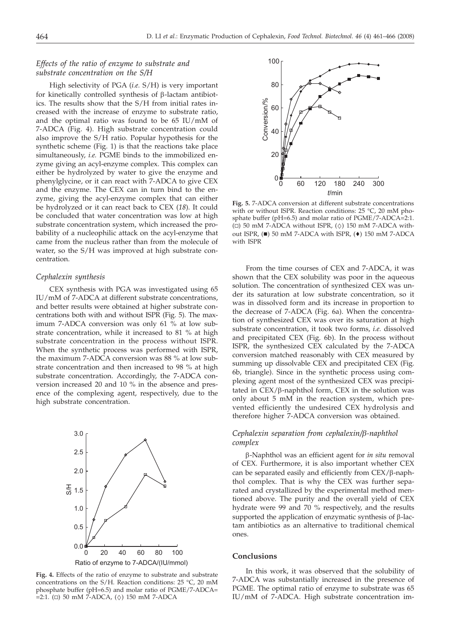# *Effects of the ratio of enzyme to substrate and substrate concentration on the S/H*

High selectivity of PGA (*i.e.* S/H) is very important for kinetically controlled synthesis of  $\beta$ -lactam antibiotics. The results show that the S/H from initial rates increased with the increase of enzyme to substrate ratio, and the optimal ratio was found to be 65 IU/mM of 7-ADCA (Fig. 4). High substrate concentration could also improve the S/H ratio. Popular hypothesis for the synthetic scheme (Fig. 1) is that the reactions take place simultaneously, *i.e.* PGME binds to the immobilized enzyme giving an acyl-enzyme complex. This complex can either be hydrolyzed by water to give the enzyme and phenylglycine, or it can react with 7-ADCA to give CEX and the enzyme. The CEX can in turn bind to the enzyme, giving the acyl-enzyme complex that can either be hydrolyzed or it can react back to CEX (*18*). It could be concluded that water concentration was low at high substrate concentration system, which increased the probability of a nucleophilic attack on the acyl-enzyme that came from the nucleus rather than from the molecule of water, so the S/H was improved at high substrate concentration.

#### *Cephalexin synthesis*

CEX synthesis with PGA was investigated using 65 IU/mM of 7-ADCA at different substrate concentrations, and better results were obtained at higher substrate concentrations both with and without ISPR (Fig. 5). The maximum 7-ADCA conversion was only 61 % at low substrate concentration, while it increased to 81 % at high substrate concentration in the process without ISPR. When the synthetic process was performed with ISPR, the maximum 7-ADCA conversion was 88 % at low substrate concentration and then increased to 98 % at high substrate concentration. Accordingly, the 7-ADCA conversion increased 20 and 10 % in the absence and presence of the complexing agent, respectively, due to the high substrate concentration.



**Fig. 4.** Effects of the ratio of enzyme to substrate and substrate concentrations on the S/H. Reaction conditions: 25 °C, 20 mM phosphate buffer (pH=6.5) and molar ratio of PGME/7-ADCA=  $=2:1.$  ( $\Box$ ) 50 mM 7-ADCA, ( $\diamond$ ) 150 mM 7-ADCA



**Fig. 5.** 7-ADCA conversion at different substrate concentrations with or without ISPR. Reaction conditions: 25 °C, 20 mM phosphate buffer (pH=6.5) and molar ratio of PGME/7-ADCA=2:1.  $(\square)$  50 mM 7-ADCA without ISPR,  $(\Diamond)$  150 mM 7-ADCA without ISPR,  $(\blacksquare)$  50 mM 7-ADCA with ISPR,  $(\blacklozenge)$  150 mM 7-ADCA with ISPR

From the time courses of CEX and 7-ADCA, it was shown that the CEX solubility was poor in the aqueous solution. The concentration of synthesized CEX was under its saturation at low substrate concentration, so it was in dissolved form and its increase in proportion to the decrease of 7-ADCA (Fig. 6a). When the concentration of synthesized CEX was over its saturation at high substrate concentration, it took two forms, *i.e.* dissolved and precipitated CEX (Fig. 6b). In the process without ISPR, the synthesized CEX calculated by the 7-ADCA conversion matched reasonably with CEX measured by summing up dissolvable CEX and precipitated CEX (Fig. 6b, triangle). Since in the synthetic process using complexing agent most of the synthesized CEX was precipitated in  $CEX/\beta$ -naphthol form,  $CEX$  in the solution was only about 5 mM in the reaction system, which prevented efficiently the undesired CEX hydrolysis and therefore higher 7-ADCA conversion was obtained.

# *Cephalexin separation from cephalexin/b-naphthol complex*

b-Naphthol was an efficient agent for *in situ* removal of CEX. Furthermore, it is also important whether CEX can be separated easily and efficiently from  $CEX/\beta$ -naphthol complex. That is why the CEX was further separated and crystallized by the experimental method mentioned above. The purity and the overall yield of CEX hydrate were 99 and 70 % respectively, and the results supported the application of enzymatic synthesis of  $\beta$ -lactam antibiotics as an alternative to traditional chemical ones.

## **Conclusions**

In this work, it was observed that the solubility of 7-ADCA was substantially increased in the presence of PGME. The optimal ratio of enzyme to substrate was 65 IU/mM of 7-ADCA. High substrate concentration im-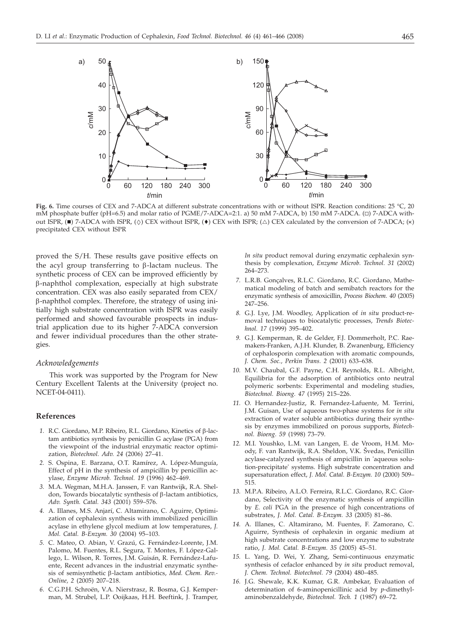

**Fig. 6.** Time courses of CEX and 7-ADCA at different substrate concentrations with or without ISPR. Reaction conditions: 25 °C, 20 mM phosphate buffer (pH=6.5) and molar ratio of PGME/7-ADCA=2:1. a) 50 mM 7-ADCA, b) 150 mM 7-ADCA. ( $\square$ ) 7-ADCA without ISPR,  $(\blacksquare)$  7-ADCA with ISPR,  $(\diamond)$  CEX without ISPR,  $(\blacktriangle)$  CEX with ISPR;  $(\triangle)$  CEX calculated by the conversion of 7-ADCA;  $(\times)$ precipitated CEX without ISPR

proved the S/H. These results gave positive effects on the acyl group transferring to  $\beta$ -lactam nucleus. The synthetic process of CEX can be improved efficiently by b-naphthol complexation, especially at high substrate concentration. CEX was also easily separated from CEX/ b-naphthol complex. Therefore, the strategy of using initially high substrate concentration with ISPR was easily performed and showed favourable prospects in industrial application due to its higher 7-ADCA conversion and fewer individual procedures than the other strategies.

#### *Acknowledgements*

This work was supported by the Program for New Century Excellent Talents at the University (project no. NCET-04-0411).

## **References**

- *1.* R.C. Giordano, M.P. Ribeiro, R.L. Giordano, Kinetics of b-lactam antibiotics synthesis by penicillin G acylase (PGA) from the viewpoint of the industrial enzymatic reactor optimization, *Biotechnol. Adv. 24* (2006) 27–41.
- *2.* S. Ospina, E. Barzana, O.T. Ramírez, A. López-Munguía, Effect of pH in the synthesis of ampicillin by penicillin acylase, *Enzyme Microb. Technol. 19* (1996) 462–469.
- *3.* M.A. Wegman, M.H.A. Janssen, F. van Rantwijk, R.A. Sheldon, Towards biocatalytic synthesis of  $\beta$ -lactam antibiotics, *Adv. Synth. Catal. 343* (2001) 559–576.
- *4.* A. Illanes, M.S. Anjarí, C. Altamirano, C. Aguirre, Optimization of cephalexin synthesis with immobilized penicillin acylase in ethylene glycol medium at low temperatures, *J. Mol. Catal. B-Enzym. 30* (2004) 95–103.
- *5.* C. Mateo, O. Abian, V. Grazú, G. Fernández-Lorente, J.M. Palomo, M. Fuentes, R.L. Segura, T. Montes, F. López-Gallego, L. Wilson, R. Torres, J.M. Guisán, R. Fernández-Lafuente, Recent advances in the industrial enzymatic synthesis of semisynthetic b-lactam antibiotics, *Med. Chem. Rev.- Online, 2* (2005) 207–218.
- *6.* C.G.P.H. Schroën, V.A. Nierstrasz, R. Bosma, G.J. Kemperman, M. Strubel, L.P. Ooijkaas, H.H. Beeftink, J. Tramper,

*In situ* product removal during enzymatic cephalexin synthesis by complexation, *Enzyme Microb. Technol. 31* (2002) 264–273.

- *7.* L.R.B. Gonçalves, R.L.C. Giordano, R.C. Giordano, Mathematical modeling of batch and semibatch reactors for the enzymatic synthesis of amoxicillin, *Process Biochem. 40* (2005) 247–256.
- *8.* G.J. Lye, J.M. Woodley, Application of *in situ* product-removal techniques to biocatalytic processes, *Trends Biotechnol. 17* (1999) 395–402.
- *9.* G.J. Kemperman, R. de Gelder, F.J. Dommerholt, P.C. Raemakers-Franken, A.J.H. Klunder, B. Zwanenburg, Efficiency of cephalosporin complexation with aromatic compounds, *J. Chem. Soc., Perkin Trans. 2* (2001) 633–638.
- *10.* M.V. Chaubal, G.F. Payne, C.H. Reynolds, R.L. Albright, Equilibria for the adsorption of antibiotics onto neutral polymeric sorbents: Experimental and modeling studies, *Biotechnol. Bioeng. 47* (1995) 215–226.
- *11.* O. Hernandez-Justiz, R. Fernandez-Lafuente, M. Terrini, J.M. Guisan, Use of aqueous two-phase systems for *in situ* extraction of water soluble antibiotics during their synthesis by enzymes immobilized on porous supports, *Biotechnol. Bioeng. 59* (1998) 73–79.
- *12.* M.I. Youshko, L.M. van Langen, E. de Vroom, H.M. Moody, F. van Rantwijk, R.A. Sheldon, V.K. Švedas, Penicillin acylase-catalyzed synthesis of ampicillin in 'aqueous solution-precipitate' systems. High substrate concentration and supersaturation effect, *J. Mol. Catal. B-Enzym. 10* (2000) 509– 515.
- *13.* M.P.A. Ribeiro, A.L.O. Ferreira, R.L.C. Giordano, R.C. Giordano, Selectivity of the enzymatic synthesis of ampicillin by *E. coli* PGA in the presence of high concentrations of substrates, *J. Mol. Catal. B-Enzym. 33* (2005) 81–86.
- *14.* A. Illanes, C. Altamirano, M. Fuentes, F. Zamorano, C. Aguirre, Synthesis of cephalexin in organic medium at high substrate concentrations and low enzyme to substrate ratio, *J. Mol. Catal. B-Enzym. 35* (2005) 45–51.
- *15.* L. Yang, D. Wei, Y. Zhang, Semi-continuous enzymatic synthesis of cefaclor enhanced by *in situ* product removal, *J. Chem. Technol. Biotechnol. 79* (2004) 480–485.
- *16.* J.G. Shewale, K.K. Kumar, G.R. Ambekar, Evaluation of determination of 6-aminopenicillinic acid by *p*-dimethylaminobenzaldehyde, *Biotechnol. Tech. 1* (1987) 69–72.